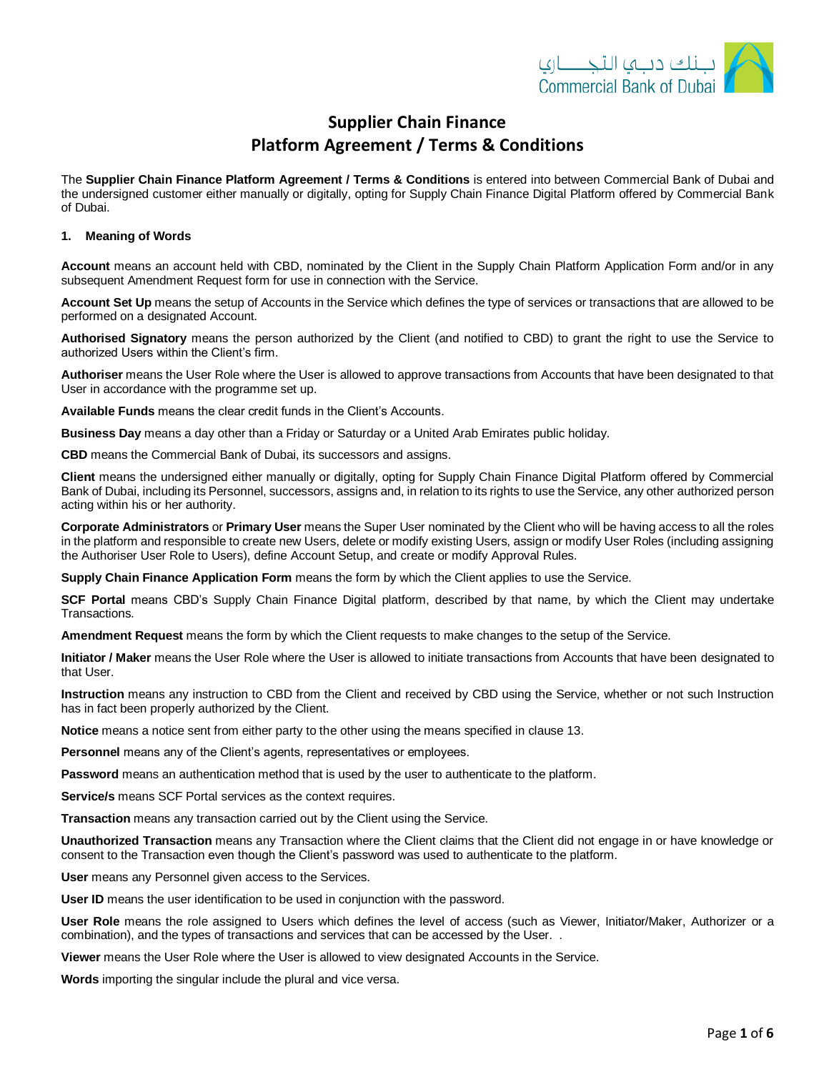

# **Supplier Chain Finance Platform Agreement / Terms & Conditions**

The **Supplier Chain Finance Platform Agreement / Terms & Conditions** is entered into between Commercial Bank of Dubai and the undersigned customer either manually or digitally, opting for Supply Chain Finance Digital Platform offered by Commercial Bank of Dubai.

### **1. Meaning of Words**

**Account** means an account held with CBD, nominated by the Client in the Supply Chain Platform Application Form and/or in any subsequent Amendment Request form for use in connection with the Service.

**Account Set Up** means the setup of Accounts in the Service which defines the type of services or transactions that are allowed to be performed on a designated Account.

**Authorised Signatory** means the person authorized by the Client (and notified to CBD) to grant the right to use the Service to authorized Users within the Client's firm.

**Authoriser** means the User Role where the User is allowed to approve transactions from Accounts that have been designated to that User in accordance with the programme set up.

**Available Funds** means the clear credit funds in the Client's Accounts.

**Business Day** means a day other than a Friday or Saturday or a United Arab Emirates public holiday.

**CBD** means the Commercial Bank of Dubai, its successors and assigns.

**Client** means the undersigned either manually or digitally, opting for Supply Chain Finance Digital Platform offered by Commercial Bank of Dubai, including its Personnel, successors, assigns and, in relation to its rights to use the Service, any other authorized person acting within his or her authority.

**Corporate Administrators** or **Primary User** means the Super User nominated by the Client who will be having access to all the roles in the platform and responsible to create new Users, delete or modify existing Users, assign or modify User Roles (including assigning the Authoriser User Role to Users), define Account Setup, and create or modify Approval Rules.

**Supply Chain Finance Application Form** means the form by which the Client applies to use the Service.

**SCF Portal** means CBD's Supply Chain Finance Digital platform, described by that name, by which the Client may undertake Transactions.

**Amendment Request** means the form by which the Client requests to make changes to the setup of the Service.

**Initiator / Maker** means the User Role where the User is allowed to initiate transactions from Accounts that have been designated to that User.

**Instruction** means any instruction to CBD from the Client and received by CBD using the Service, whether or not such Instruction has in fact been properly authorized by the Client.

**Notice** means a notice sent from either party to the other using the means specified in clause 13.

**Personnel** means any of the Client's agents, representatives or employees.

**Password** means an authentication method that is used by the user to authenticate to the platform.

**Service/s** means SCF Portal services as the context requires.

**Transaction** means any transaction carried out by the Client using the Service.

**Unauthorized Transaction** means any Transaction where the Client claims that the Client did not engage in or have knowledge or consent to the Transaction even though the Client's password was used to authenticate to the platform.

**User** means any Personnel given access to the Services.

**User ID** means the user identification to be used in conjunction with the password.

**User Role** means the role assigned to Users which defines the level of access (such as Viewer, Initiator/Maker, Authorizer or a combination), and the types of transactions and services that can be accessed by the User. .

**Viewer** means the User Role where the User is allowed to view designated Accounts in the Service.

**Words** importing the singular include the plural and vice versa.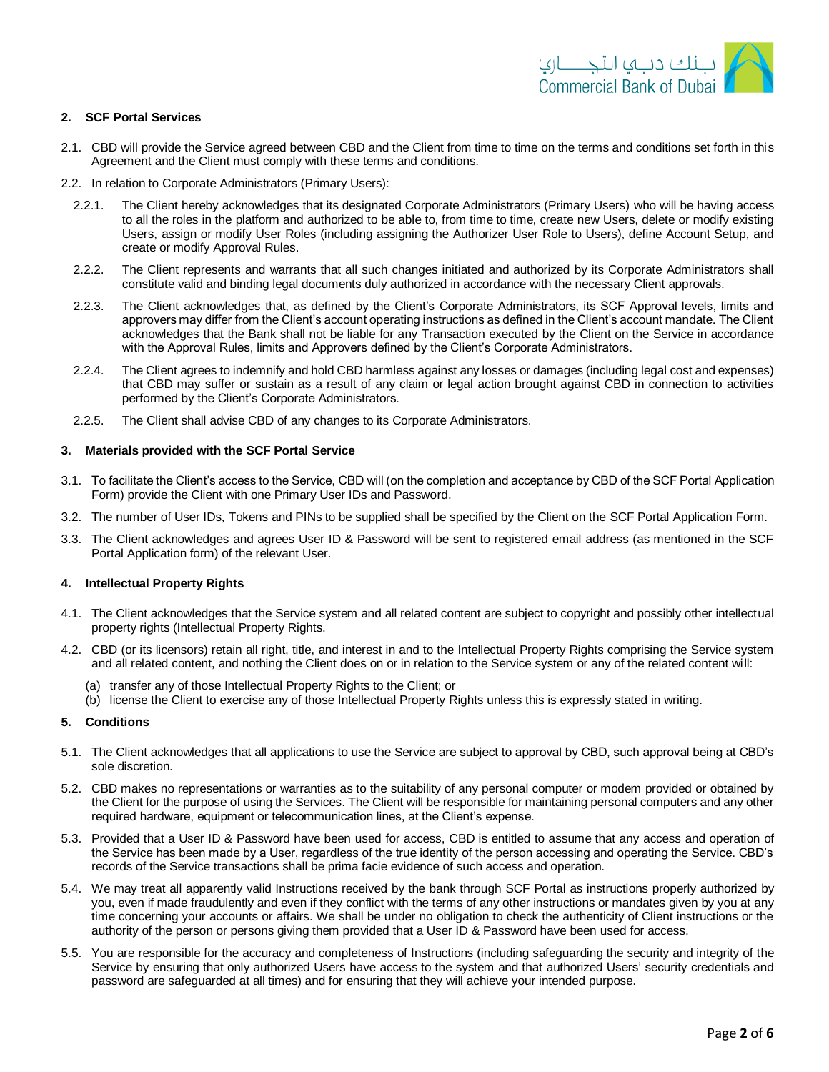### **2. SCF Portal Services**

- 2.1. CBD will provide the Service agreed between CBD and the Client from time to time on the terms and conditions set forth in this Agreement and the Client must comply with these terms and conditions.
- 2.2. In relation to Corporate Administrators (Primary Users):
	- 2.2.1. The Client hereby acknowledges that its designated Corporate Administrators (Primary Users) who will be having access to all the roles in the platform and authorized to be able to, from time to time, create new Users, delete or modify existing Users, assign or modify User Roles (including assigning the Authorizer User Role to Users), define Account Setup, and create or modify Approval Rules.
	- 2.2.2. The Client represents and warrants that all such changes initiated and authorized by its Corporate Administrators shall constitute valid and binding legal documents duly authorized in accordance with the necessary Client approvals.
	- 2.2.3. The Client acknowledges that, as defined by the Client's Corporate Administrators, its SCF Approval levels, limits and approvers may differ from the Client's account operating instructions as defined in the Client's account mandate. The Client acknowledges that the Bank shall not be liable for any Transaction executed by the Client on the Service in accordance with the Approval Rules, limits and Approvers defined by the Client's Corporate Administrators.
	- 2.2.4. The Client agrees to indemnify and hold CBD harmless against any losses or damages (including legal cost and expenses) that CBD may suffer or sustain as a result of any claim or legal action brought against CBD in connection to activities performed by the Client's Corporate Administrators.
	- 2.2.5. The Client shall advise CBD of any changes to its Corporate Administrators.

### **3. Materials provided with the SCF Portal Service**

- 3.1. To facilitate the Client's access to the Service, CBD will (on the completion and acceptance by CBD of the SCF Portal Application Form) provide the Client with one Primary User IDs and Password.
- 3.2. The number of User IDs, Tokens and PINs to be supplied shall be specified by the Client on the SCF Portal Application Form.
- 3.3. The Client acknowledges and agrees User ID & Password will be sent to registered email address (as mentioned in the SCF Portal Application form) of the relevant User.

# **4. Intellectual Property Rights**

- 4.1. The Client acknowledges that the Service system and all related content are subject to copyright and possibly other intellectual property rights (Intellectual Property Rights.
- 4.2. CBD (or its licensors) retain all right, title, and interest in and to the Intellectual Property Rights comprising the Service system and all related content, and nothing the Client does on or in relation to the Service system or any of the related content will:
	- (a) transfer any of those Intellectual Property Rights to the Client; or
	- (b) license the Client to exercise any of those Intellectual Property Rights unless this is expressly stated in writing.

# **5. Conditions**

- 5.1. The Client acknowledges that all applications to use the Service are subject to approval by CBD, such approval being at CBD's sole discretion.
- 5.2. CBD makes no representations or warranties as to the suitability of any personal computer or modem provided or obtained by the Client for the purpose of using the Services. The Client will be responsible for maintaining personal computers and any other required hardware, equipment or telecommunication lines, at the Client's expense.
- 5.3. Provided that a User ID & Password have been used for access, CBD is entitled to assume that any access and operation of the Service has been made by a User, regardless of the true identity of the person accessing and operating the Service. CBD's records of the Service transactions shall be prima facie evidence of such access and operation.
- 5.4. We may treat all apparently valid Instructions received by the bank through SCF Portal as instructions properly authorized by you, even if made fraudulently and even if they conflict with the terms of any other instructions or mandates given by you at any time concerning your accounts or affairs. We shall be under no obligation to check the authenticity of Client instructions or the authority of the person or persons giving them provided that a User ID & Password have been used for access.
- 5.5. You are responsible for the accuracy and completeness of Instructions (including safeguarding the security and integrity of the Service by ensuring that only authorized Users have access to the system and that authorized Users' security credentials and password are safeguarded at all times) and for ensuring that they will achieve your intended purpose.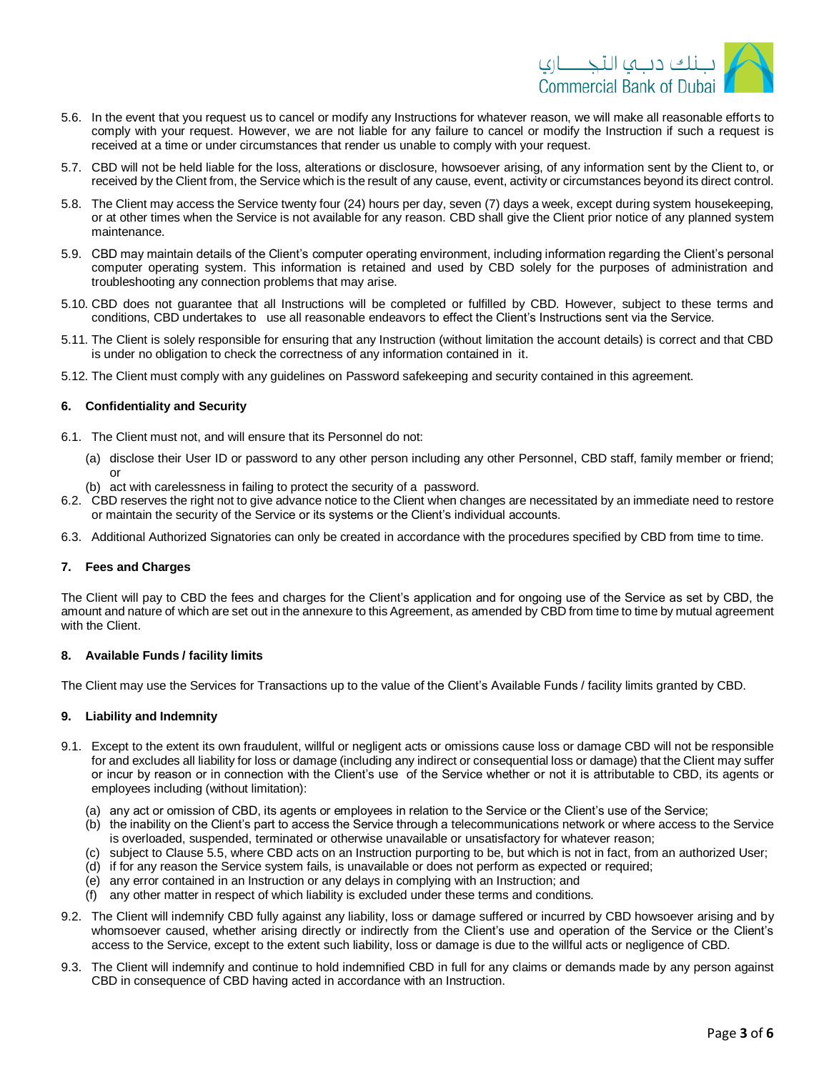

- 5.6. In the event that you request us to cancel or modify any Instructions for whatever reason, we will make all reasonable efforts to comply with your request. However, we are not liable for any failure to cancel or modify the Instruction if such a request is received at a time or under circumstances that render us unable to comply with your request.
- 5.7. CBD will not be held liable for the loss, alterations or disclosure, howsoever arising, of any information sent by the Client to, or received by the Client from, the Service which is the result of any cause, event, activity or circumstances beyond its direct control.
- 5.8. The Client may access the Service twenty four (24) hours per day, seven (7) days a week, except during system housekeeping, or at other times when the Service is not available for any reason. CBD shall give the Client prior notice of any planned system maintenance.
- 5.9. CBD may maintain details of the Client's computer operating environment, including information regarding the Client's personal computer operating system. This information is retained and used by CBD solely for the purposes of administration and troubleshooting any connection problems that may arise.
- 5.10. CBD does not guarantee that all Instructions will be completed or fulfilled by CBD. However, subject to these terms and conditions, CBD undertakes to use all reasonable endeavors to effect the Client's Instructions sent via the Service.
- 5.11. The Client is solely responsible for ensuring that any Instruction (without limitation the account details) is correct and that CBD is under no obligation to check the correctness of any information contained in it.
- 5.12. The Client must comply with any guidelines on Password safekeeping and security contained in this agreement.

### **6. Confidentiality and Security**

- 6.1. The Client must not, and will ensure that its Personnel do not:
	- (a) disclose their User ID or password to any other person including any other Personnel, CBD staff, family member or friend; or
	- (b) act with carelessness in failing to protect the security of a password.
- 6.2. CBD reserves the right not to give advance notice to the Client when changes are necessitated by an immediate need to restore or maintain the security of the Service or its systems or the Client's individual accounts.
- 6.3. Additional Authorized Signatories can only be created in accordance with the procedures specified by CBD from time to time.

# **7. Fees and Charges**

The Client will pay to CBD the fees and charges for the Client's application and for ongoing use of the Service as set by CBD, the amount and nature of which are set out in the annexure to this Agreement, as amended by CBD from time to time by mutual agreement with the Client.

# **8. Available Funds / facility limits**

The Client may use the Services for Transactions up to the value of the Client's Available Funds / facility limits granted by CBD.

# **9. Liability and Indemnity**

- 9.1. Except to the extent its own fraudulent, willful or negligent acts or omissions cause loss or damage CBD will not be responsible for and excludes all liability for loss or damage (including any indirect or consequential loss or damage) that the Client may suffer or incur by reason or in connection with the Client's use of the Service whether or not it is attributable to CBD, its agents or employees including (without limitation):
	- (a) any act or omission of CBD, its agents or employees in relation to the Service or the Client's use of the Service;
	- (b) the inability on the Client's part to access the Service through a telecommunications network or where access to the Service is overloaded, suspended, terminated or otherwise unavailable or unsatisfactory for whatever reason;
	- (c) subject to Clause 5.5, where CBD acts on an Instruction purporting to be, but which is not in fact, from an authorized User;
	- (d) if for any reason the Service system fails, is unavailable or does not perform as expected or required;
	- (e) any error contained in an Instruction or any delays in complying with an Instruction; and
	- (f) any other matter in respect of which liability is excluded under these terms and conditions.
- 9.2. The Client will indemnify CBD fully against any liability, loss or damage suffered or incurred by CBD howsoever arising and by whomsoever caused, whether arising directly or indirectly from the Client's use and operation of the Service or the Client's access to the Service, except to the extent such liability, loss or damage is due to the willful acts or negligence of CBD.
- 9.3. The Client will indemnify and continue to hold indemnified CBD in full for any claims or demands made by any person against CBD in consequence of CBD having acted in accordance with an Instruction.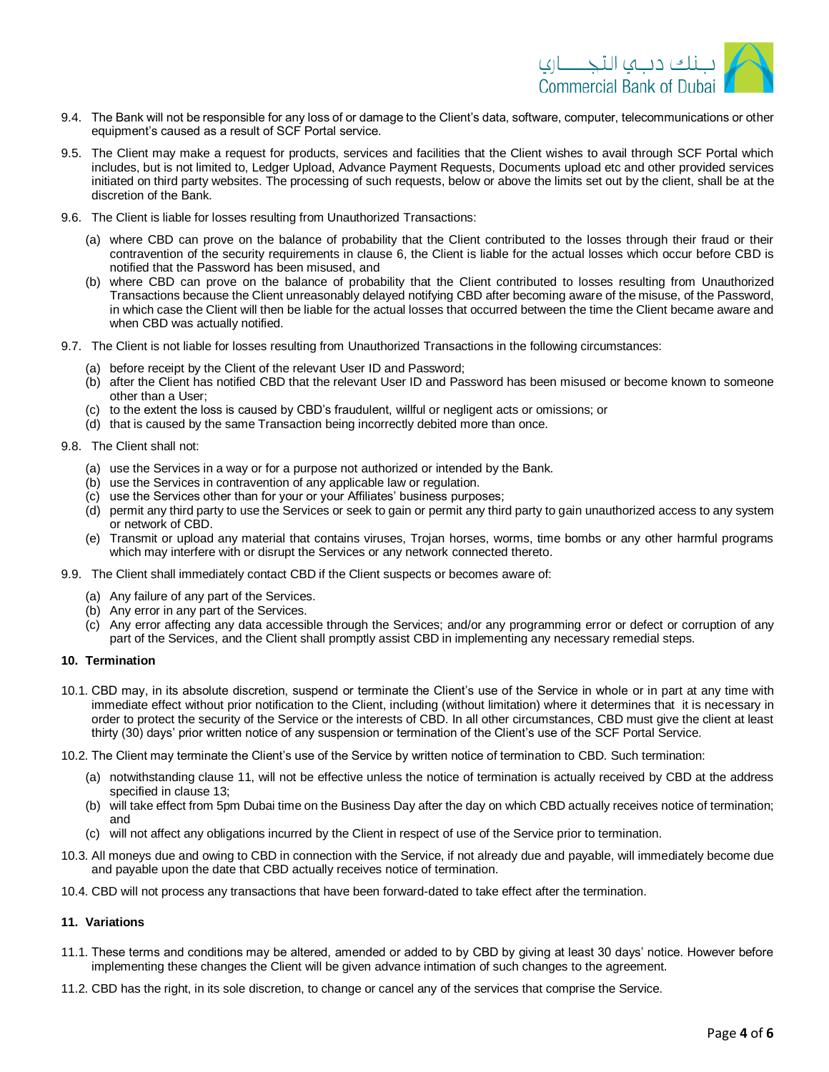

- 9.4. The Bank will not be responsible for any loss of or damage to the Client's data, software, computer, telecommunications or other equipment's caused as a result of SCF Portal service.
- 9.5. The Client may make a request for products, services and facilities that the Client wishes to avail through SCF Portal which includes, but is not limited to, Ledger Upload, Advance Payment Requests, Documents upload etc and other provided services initiated on third party websites. The processing of such requests, below or above the limits set out by the client, shall be at the discretion of the Bank.
- 9.6. The Client is liable for losses resulting from Unauthorized Transactions:
	- (a) where CBD can prove on the balance of probability that the Client contributed to the losses through their fraud or their contravention of the security requirements in clause 6, the Client is liable for the actual losses which occur before CBD is notified that the Password has been misused, and
	- (b) where CBD can prove on the balance of probability that the Client contributed to losses resulting from Unauthorized Transactions because the Client unreasonably delayed notifying CBD after becoming aware of the misuse, of the Password, in which case the Client will then be liable for the actual losses that occurred between the time the Client became aware and when CBD was actually notified.
- 9.7. The Client is not liable for losses resulting from Unauthorized Transactions in the following circumstances:
	- (a) before receipt by the Client of the relevant User ID and Password;
	- (b) after the Client has notified CBD that the relevant User ID and Password has been misused or become known to someone other than a User;
	- (c) to the extent the loss is caused by CBD's fraudulent, willful or negligent acts or omissions; or
	- (d) that is caused by the same Transaction being incorrectly debited more than once.
- 9.8. The Client shall not:
	- (a) use the Services in a way or for a purpose not authorized or intended by the Bank.
	- (b) use the Services in contravention of any applicable law or regulation.
	- (c) use the Services other than for your or your Affiliates' business purposes;
	- (d) permit any third party to use the Services or seek to gain or permit any third party to gain unauthorized access to any system or network of CBD.
	- (e) Transmit or upload any material that contains viruses, Trojan horses, worms, time bombs or any other harmful programs which may interfere with or disrupt the Services or any network connected thereto.
- 9.9. The Client shall immediately contact CBD if the Client suspects or becomes aware of:
	- (a) Any failure of any part of the Services.
	- (b) Any error in any part of the Services.
	- (c) Any error affecting any data accessible through the Services; and/or any programming error or defect or corruption of any part of the Services, and the Client shall promptly assist CBD in implementing any necessary remedial steps.

### **10. Termination**

- 10.1. CBD may, in its absolute discretion, suspend or terminate the Client's use of the Service in whole or in part at any time with immediate effect without prior notification to the Client, including (without limitation) where it determines that it is necessary in order to protect the security of the Service or the interests of CBD. In all other circumstances, CBD must give the client at least thirty (30) days' prior written notice of any suspension or termination of the Client's use of the SCF Portal Service.
- 10.2. The Client may terminate the Client's use of the Service by written notice of termination to CBD. Such termination:
	- (a) notwithstanding clause 11, will not be effective unless the notice of termination is actually received by CBD at the address specified in clause 13;
	- (b) will take effect from 5pm Dubai time on the Business Day after the day on which CBD actually receives notice of termination; and
	- (c) will not affect any obligations incurred by the Client in respect of use of the Service prior to termination.
- 10.3. All moneys due and owing to CBD in connection with the Service, if not already due and payable, will immediately become due and payable upon the date that CBD actually receives notice of termination.
- 10.4. CBD will not process any transactions that have been forward-dated to take effect after the termination.

# **11. Variations**

- 11.1. These terms and conditions may be altered, amended or added to by CBD by giving at least 30 days' notice. However before implementing these changes the Client will be given advance intimation of such changes to the agreement.
- 11.2. CBD has the right, in its sole discretion, to change or cancel any of the services that comprise the Service.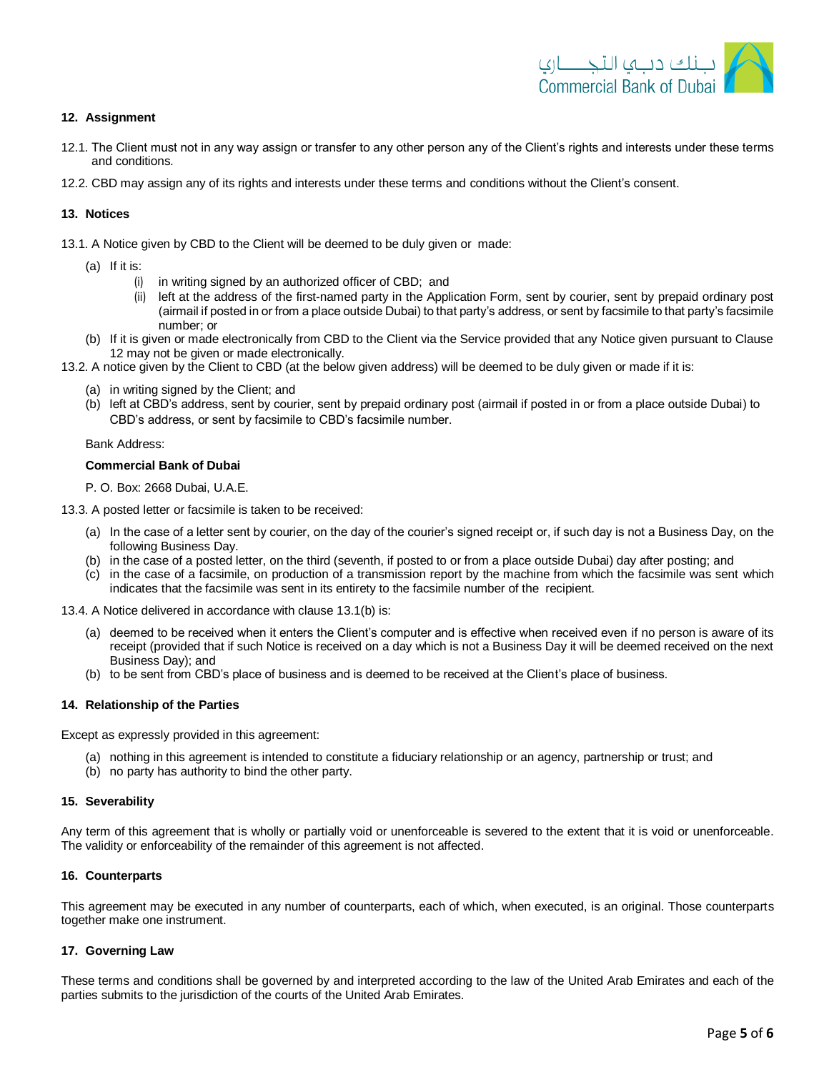

# **12. Assignment**

- 12.1. The Client must not in any way assign or transfer to any other person any of the Client's rights and interests under these terms and conditions.
- 12.2. CBD may assign any of its rights and interests under these terms and conditions without the Client's consent.

# **13. Notices**

- 13.1. A Notice given by CBD to the Client will be deemed to be duly given or made:
	- (a) If it is:
		- (i) in writing signed by an authorized officer of CBD; and
		- (ii) left at the address of the first-named party in the Application Form, sent by courier, sent by prepaid ordinary post (airmail if posted in or from a place outside Dubai) to that party's address, or sent by facsimile to that party's facsimile number; or
	- (b) If it is given or made electronically from CBD to the Client via the Service provided that any Notice given pursuant to Clause 12 may not be given or made electronically.
- 13.2. A notice given by the Client to CBD (at the below given address) will be deemed to be duly given or made if it is:
	- (a) in writing signed by the Client; and
	- (b) left at CBD's address, sent by courier, sent by prepaid ordinary post (airmail if posted in or from a place outside Dubai) to CBD's address, or sent by facsimile to CBD's facsimile number.

### Bank Address:

# **Commercial Bank of Dubai**

P. O. Box: 2668 Dubai, U.A.E.

- 13.3. A posted letter or facsimile is taken to be received:
	- (a) In the case of a letter sent by courier, on the day of the courier's signed receipt or, if such day is not a Business Day, on the following Business Day.
	- (b) in the case of a posted letter, on the third (seventh, if posted to or from a place outside Dubai) day after posting; and
	- (c) in the case of a facsimile, on production of a transmission report by the machine from which the facsimile was sent which indicates that the facsimile was sent in its entirety to the facsimile number of the recipient.
- 13.4. A Notice delivered in accordance with clause 13.1(b) is:
	- (a) deemed to be received when it enters the Client's computer and is effective when received even if no person is aware of its receipt (provided that if such Notice is received on a day which is not a Business Day it will be deemed received on the next Business Day); and
	- (b) to be sent from CBD's place of business and is deemed to be received at the Client's place of business.

### **14. Relationship of the Parties**

Except as expressly provided in this agreement:

- (a) nothing in this agreement is intended to constitute a fiduciary relationship or an agency, partnership or trust; and
- (b) no party has authority to bind the other party.

### **15. Severability**

Any term of this agreement that is wholly or partially void or unenforceable is severed to the extent that it is void or unenforceable. The validity or enforceability of the remainder of this agreement is not affected.

### **16. Counterparts**

This agreement may be executed in any number of counterparts, each of which, when executed, is an original. Those counterparts together make one instrument.

### **17. Governing Law**

These terms and conditions shall be governed by and interpreted according to the law of the United Arab Emirates and each of the parties submits to the jurisdiction of the courts of the United Arab Emirates.